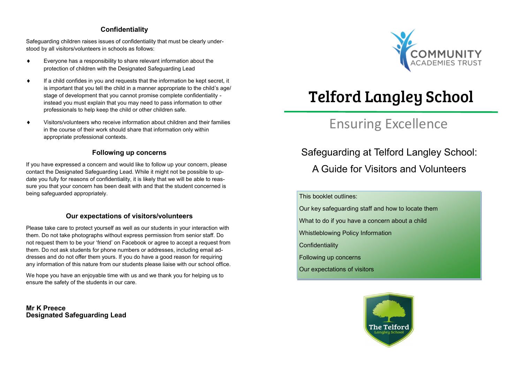#### **Confidentiality**

Safeguarding children raises issues of confidentiality that must be clearly understood by all visitors/volunteers in schools as follows:

- Everyone has a responsibility to share relevant information about the protection of children with the Designated Safeguarding Lead
- $\bullet$  If a child confides in you and requests that the information be kept secret, it is important that you tell the child in a manner appropriate to the child's age/ stage of development that you cannot promise complete confidentiality instead you must explain that you may need to pass information to other professionals to help keep the child or other children safe.
- Visitors/volunteers who receive information about children and their families in the course of their work should share that information only within appropriate professional contexts.

#### **Following up concerns**

If you have expressed a concern and would like to follow up your concern, please contact the Designated Safeguarding Lead. While it might not be possible to update you fully for reasons of confidentiality, it is likely that we will be able to reassure you that your concern has been dealt with and that the student concerned is being safeguarded appropriately.

#### **Our expectations of visitors/volunteers**

Please take care to protect yourself as well as our students in your interaction with them. Do not take photographs without express permission from senior staff. Do not request them to be your 'friend' on Facebook or agree to accept a request from them. Do not ask students for phone numbers or addresses, including email addresses and do not offer them yours. If you do have a good reason for requiring any information of this nature from our students please liaise with our school office.

We hope you have an enjoyable time with us and we thank you for helping us to ensure the safety of the students in our care.

**Mr K Preece Designated Safeguarding Lead** 



# Telford Langley School

## Ensuring Excellence

### Safeguarding at Telford Langley School:

A Guide for Visitors and Volunteers

#### This booklet outlines:

- Our key safeguarding staff and how to locate them
- What to do if you have a concern about a child
- Whistleblowing Policy Information
- **Confidentiality**
- Following up concerns
- Our expectations of visitors